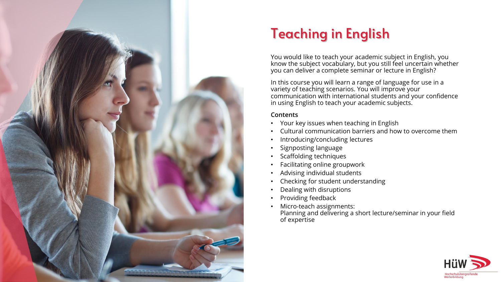

## Teaching in English

You would like to teach your academic subject in English, you know the subject vocabulary, but you still feel uncertain whether you can deliver a complete seminar or lecture in English?

In this course you will learn a range of language for use in a variety of teaching scenarios. You will improve your communication with international students and your confidence in using English to teach your academic subjects.

## **Contents**

- Your key issues when teaching in English
- Cultural communication barriers and how to overcome them
- Introducing/concluding lectures
- Signposting language
- Scaffolding techniques
- Facilitating online groupwork
- Advising individual students
- Checking for student understanding
- Dealing with disruptions
- Providing feedback
- Micro-teach assignments: Planning and delivering a short lecture/seminar in your field of expertise

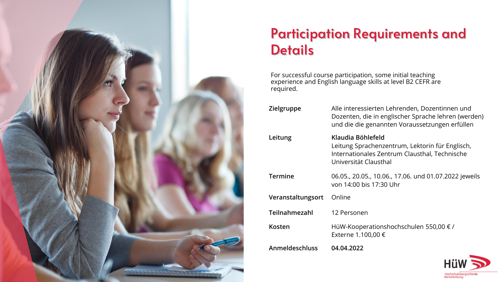

## Participation Requirements and **Details**

For successful course participation, some initial teaching experience and English language skills at level B2 CEFR are required.

| Zielgruppe        | Alle interessierten Lehrenden, Dozentinnen und<br>Dozenten, die in englischer Sprache lehren (werden)<br>und die die genannten Voraussetzungen erfüllen |
|-------------------|---------------------------------------------------------------------------------------------------------------------------------------------------------|
| Leitung           | Klaudia Böhlefeld<br>Leitung Sprachenzentrum, Lektorin für Englisch,<br>Internationales Zentrum Clausthal, Technische<br>Universität Clausthal          |
| <b>Termine</b>    | 06.05., 20.05., 10.06., 17.06. und 01.07.2022 jeweils<br>von 14:00 bis 17:30 Uhr                                                                        |
| Veranstaltungsort | Online                                                                                                                                                  |
| Teilnahmezahl     | 12 Personen                                                                                                                                             |
| Kosten            | HüW-Kooperationshochschulen 550,00 € /<br>Externe 1.100,00 €                                                                                            |
| Anmeldeschluss    | 04.04.2022                                                                                                                                              |